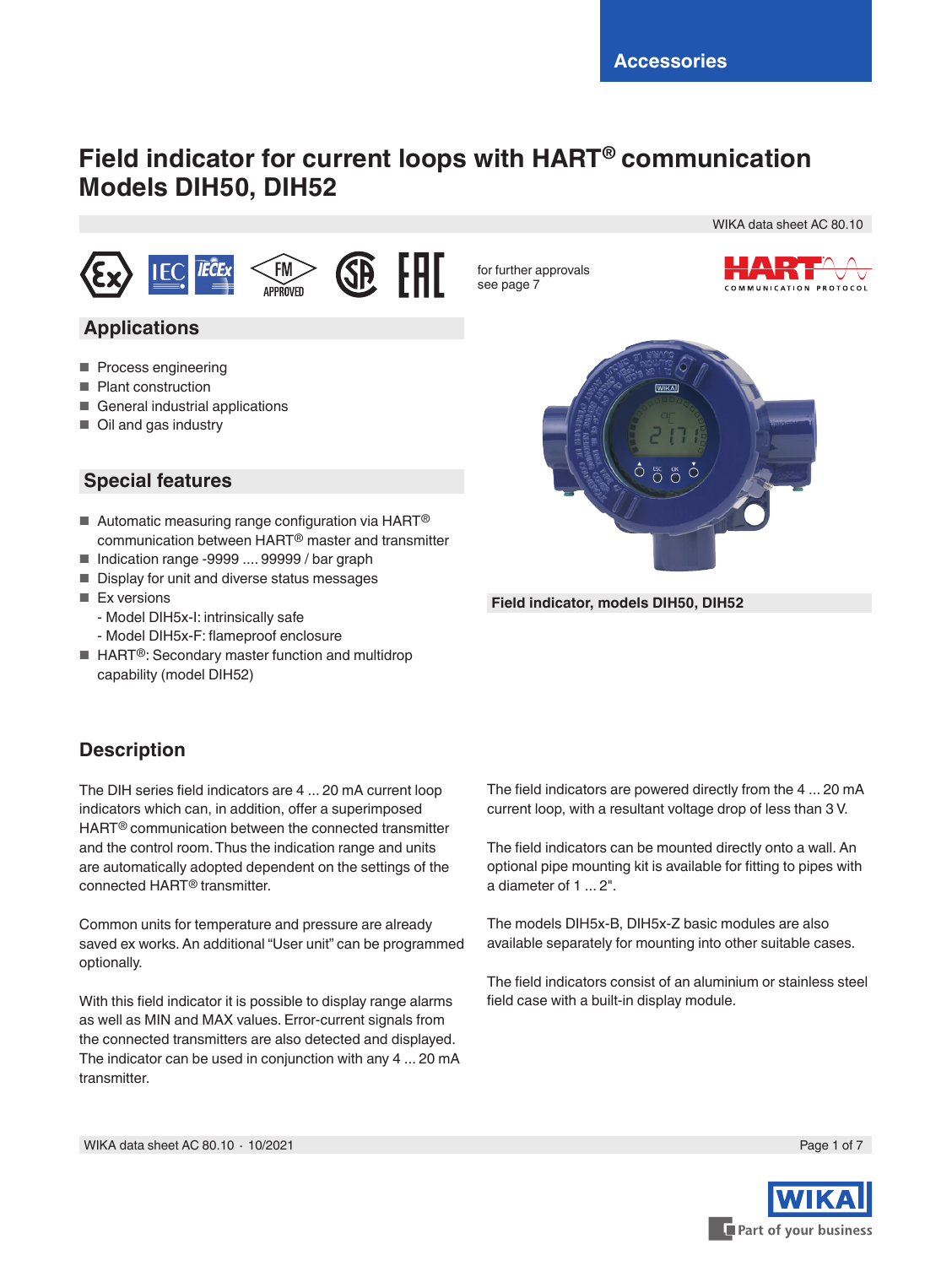# **Field indicator for current loops with HART® communication Models DIH50, DIH52**







for further approvals see page 7



WIKA data sheet AC 80.10

#### **Applications**

- Process engineering
- Plant construction
- General industrial applications
- Oil and gas industry

#### **Special features**

- $\blacksquare$  Automatic measuring range configuration via HART<sup>®</sup> communication between HART® master and transmitter
- Indication range -9999 .... 99999 / bar graph
- Display for unit and diverse status messages
- Ex versions
- Model DIH5x-I: intrinsically safe
- Model DIH5x-F: flameproof enclosure
- HART<sup>®</sup>: Secondary master function and multidrop capability (model DIH52)

### **Description**

The DIH series field indicators are 4 ... 20 mA current loop indicators which can, in addition, offer a superimposed HART® communication between the connected transmitter and the control room. Thus the indication range and units are automatically adopted dependent on the settings of the connected HART® transmitter.

Common units for temperature and pressure are already saved ex works. An additional "User unit" can be programmed optionally.

With this field indicator it is possible to display range alarms as well as MIN and MAX values. Error-current signals from the connected transmitters are also detected and displayed. The indicator can be used in conjunction with any 4 ... 20 mA transmitter.



**Field indicator, models DIH50, DIH52**

The field indicators are powered directly from the 4 ... 20 mA current loop, with a resultant voltage drop of less than 3 V.

The field indicators can be mounted directly onto a wall. An optional pipe mounting kit is available for fitting to pipes with a diameter of 1 ... 2".

The models DIH5x-B, DIH5x-Z basic modules are also available separately for mounting into other suitable cases.

The field indicators consist of an aluminium or stainless steel field case with a built-in display module.

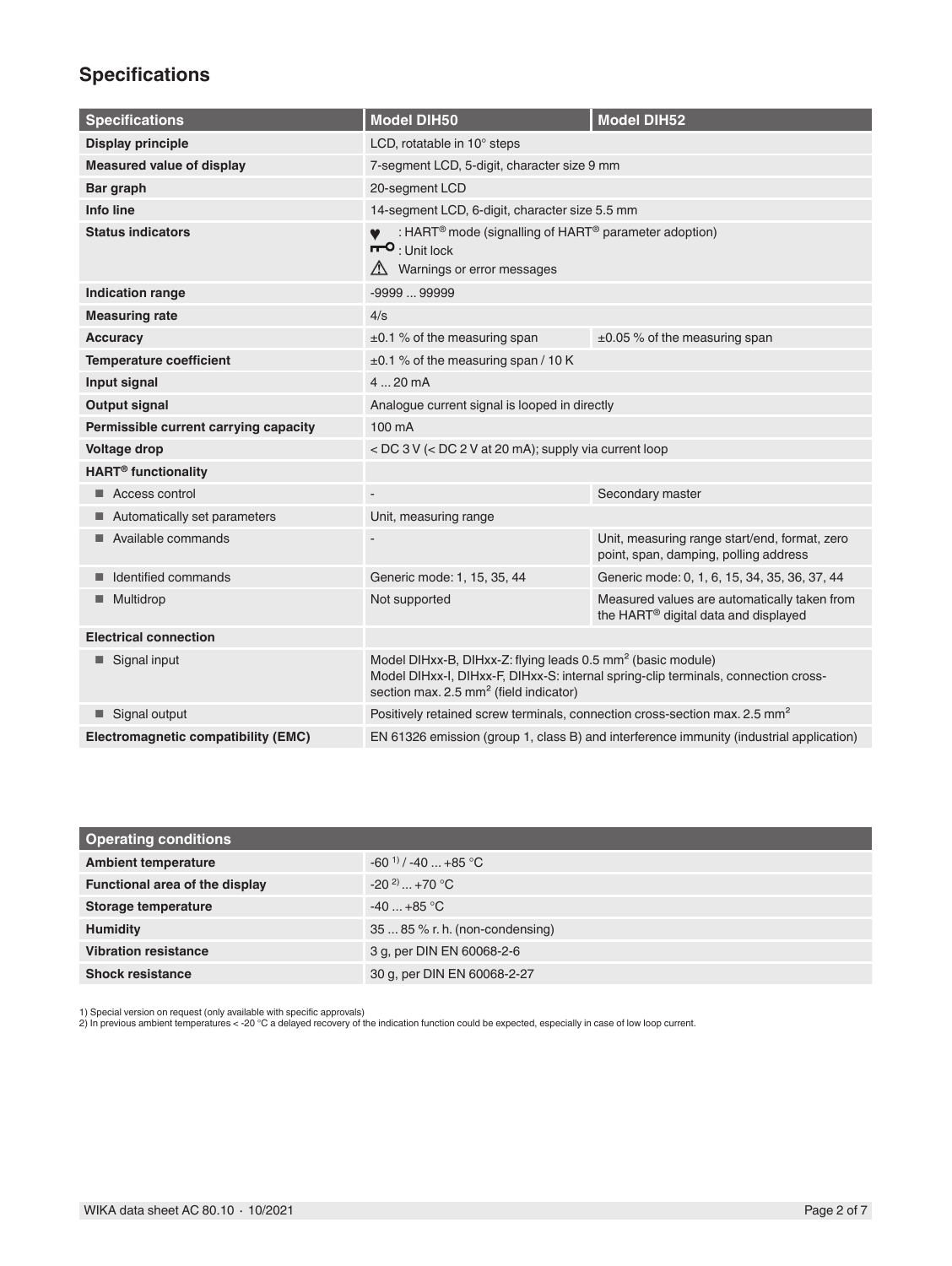## **Specifications**

| <b>Specifications</b>                 | <b>Model DIH50</b>                                                                                                                                                                                                  | <b>Model DIH52</b>                                                                               |
|---------------------------------------|---------------------------------------------------------------------------------------------------------------------------------------------------------------------------------------------------------------------|--------------------------------------------------------------------------------------------------|
| <b>Display principle</b>              | LCD, rotatable in 10° steps                                                                                                                                                                                         |                                                                                                  |
| <b>Measured value of display</b>      | 7-segment LCD, 5-digit, character size 9 mm                                                                                                                                                                         |                                                                                                  |
| Bar graph                             | 20-segment LCD                                                                                                                                                                                                      |                                                                                                  |
| Info line                             | 14-segment LCD, 6-digit, character size 5.5 mm                                                                                                                                                                      |                                                                                                  |
| <b>Status indicators</b>              | : HART <sup>®</sup> mode (signalling of HART <sup>®</sup> parameter adoption)<br>$\mathsf{H}^{\mathsf{O}}$ : Unit lock<br>$\triangle$ Warnings or error messages                                                    |                                                                                                  |
| <b>Indication range</b>               | $-999999999$                                                                                                                                                                                                        |                                                                                                  |
| <b>Measuring rate</b>                 | 4/s                                                                                                                                                                                                                 |                                                                                                  |
| Accuracy                              | $\pm 0.1$ % of the measuring span                                                                                                                                                                                   | $\pm 0.05$ % of the measuring span                                                               |
| <b>Temperature coefficient</b>        | ±0.1 % of the measuring span / 10 K                                                                                                                                                                                 |                                                                                                  |
| Input signal                          | 420mA                                                                                                                                                                                                               |                                                                                                  |
| <b>Output signal</b>                  | Analogue current signal is looped in directly                                                                                                                                                                       |                                                                                                  |
| Permissible current carrying capacity | 100 mA                                                                                                                                                                                                              |                                                                                                  |
| Voltage drop                          | < DC 3 V (< DC 2 V at 20 mA); supply via current loop                                                                                                                                                               |                                                                                                  |
| <b>HART<sup>®</sup></b> functionality |                                                                                                                                                                                                                     |                                                                                                  |
| Access control                        |                                                                                                                                                                                                                     | Secondary master                                                                                 |
| Automatically set parameters          | Unit, measuring range                                                                                                                                                                                               |                                                                                                  |
| Available commands                    |                                                                                                                                                                                                                     | Unit, measuring range start/end, format, zero<br>point, span, damping, polling address           |
| Identified commands                   | Generic mode: 1, 15, 35, 44                                                                                                                                                                                         | Generic mode: 0, 1, 6, 15, 34, 35, 36, 37, 44                                                    |
| Multidrop                             | Not supported                                                                                                                                                                                                       | Measured values are automatically taken from<br>the HART <sup>®</sup> digital data and displayed |
| <b>Electrical connection</b>          |                                                                                                                                                                                                                     |                                                                                                  |
| Signal input                          | Model DIHxx-B, DIHxx-Z: flying leads 0.5 mm <sup>2</sup> (basic module)<br>Model DIHxx-I, DIHxx-F, DIHxx-S: internal spring-clip terminals, connection cross-<br>section max. 2.5 mm <sup>2</sup> (field indicator) |                                                                                                  |
| Signal output                         | Positively retained screw terminals, connection cross-section max. 2.5 mm <sup>2</sup>                                                                                                                              |                                                                                                  |
| Electromagnetic compatibility (EMC)   |                                                                                                                                                                                                                     | EN 61326 emission (group 1, class B) and interference immunity (industrial application)          |

| <b>Operating conditions</b>    |                                    |
|--------------------------------|------------------------------------|
| <b>Ambient temperature</b>     | $-60^{11}$ / $-40$ $+85^{\circ}$ C |
| Functional area of the display | $-20^{2}$ +70 °C                   |
| Storage temperature            | $-40+85$ °C                        |
| <b>Humidity</b>                | 35  85 % r. h. (non-condensing)    |
| <b>Vibration resistance</b>    | 3 g, per DIN EN 60068-2-6          |
| <b>Shock resistance</b>        | 30 g, per DIN EN 60068-2-27        |

1) Special version on request (only available with specific approvals) 2) In previous ambient temperatures < -20 °C a delayed recovery of the indication function could be expected, especially in case of low loop current.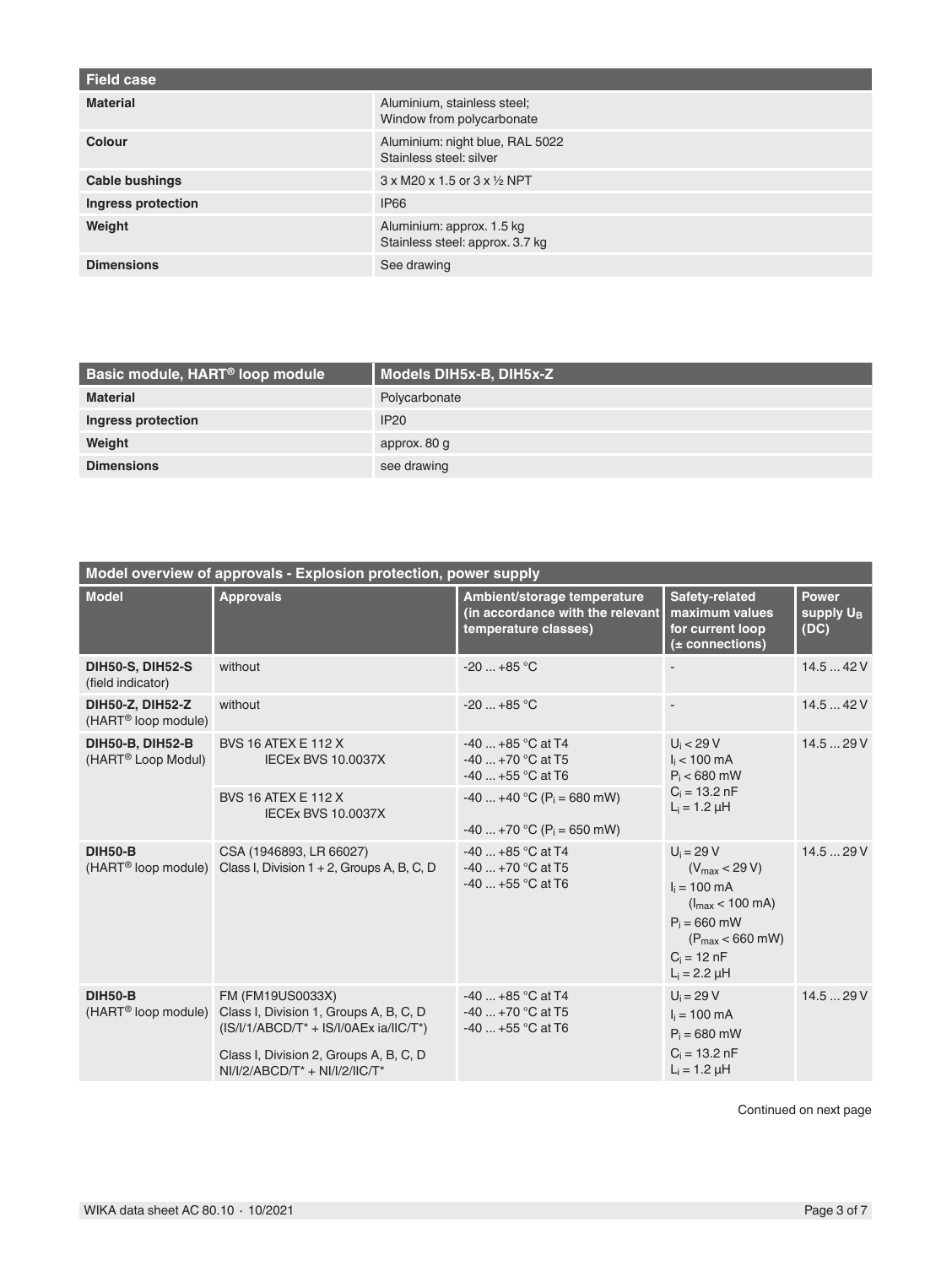| <b>Field case</b>  |                                                              |
|--------------------|--------------------------------------------------------------|
| <b>Material</b>    | Aluminium, stainless steel;<br>Window from polycarbonate     |
| Colour             | Aluminium: night blue, RAL 5022<br>Stainless steel: silver   |
| Cable bushings     | $3 \times M20 \times 1.5$ or $3 \times \frac{1}{2}$ NPT      |
| Ingress protection | <b>IP66</b>                                                  |
| Weight             | Aluminium: approx. 1.5 kg<br>Stainless steel: approx. 3.7 kg |
| <b>Dimensions</b>  | See drawing                                                  |

| Basic module, HART <sup>®</sup> loop module | Models DIH5x-B, DIH5x-Z |
|---------------------------------------------|-------------------------|
| <b>Material</b>                             | Polycarbonate           |
| Ingress protection                          | IP20                    |
| Weight                                      | approx. 80 g            |
| <b>Dimensions</b>                           | see drawing             |

| Model overview of approvals - Explosion protection, power supply |                                                                                                        |                                                                                         |                                                                                                                                                                                            |                                               |
|------------------------------------------------------------------|--------------------------------------------------------------------------------------------------------|-----------------------------------------------------------------------------------------|--------------------------------------------------------------------------------------------------------------------------------------------------------------------------------------------|-----------------------------------------------|
| <b>Model</b>                                                     | <b>Approvals</b>                                                                                       | Ambient/storage temperature<br>(in accordance with the relevant<br>temperature classes) | Safety-related<br>maximum values<br>for current loop<br>$(±$ connections)                                                                                                                  | <b>Power</b><br>supply U <sub>B</sub><br>(DC) |
| <b>DIH50-S, DIH52-S</b><br>(field indicator)                     | without                                                                                                | $-20$ $+85$ °C                                                                          |                                                                                                                                                                                            | 14.542V                                       |
| DIH50-Z, DIH52-Z<br>(HART <sup>®</sup> loop module)              | without                                                                                                | $-20$ $+85$ °C                                                                          |                                                                                                                                                                                            | 14.542V                                       |
| <b>DIH50-B, DIH52-B</b><br>(HART <sup>®</sup> Loop Modul)        | <b>BVS 16 ATEX E 112 X</b><br><b>IECEx BVS 10.0037X</b>                                                | $-40$ $+85$ °C at T4<br>$-40$ $+70$ °C at T5<br>$-40$ +55 °C at T6                      | $U_i < 29 V$<br>$I_i$ < 100 mA<br>$P_i < 680$ mW<br>$C_i = 13.2 \text{ nF}$<br>$L_i = 1.2 \mu H$                                                                                           | 14.529V                                       |
|                                                                  | <b>BVS 16 ATEX E 112 X</b><br><b>IECEx BVS 10.0037X</b>                                                | $-40+40$ °C (P <sub>i</sub> = 680 mW)<br>$-40$ +70 °C (P <sub>i</sub> = 650 mW)         |                                                                                                                                                                                            |                                               |
| <b>DIH50-B</b>                                                   | CSA (1946893, LR 66027)<br>(HART <sup>®</sup> loop module) Class I, Division 1 + 2, Groups A, B, C, D  | $-40$ $+85$ °C at T4<br>$-40$ $+70$ °C at T5<br>$-40$ $+55$ °C at T6                    | $U_i = 29 V$<br>$(V_{\text{max}} < 29 V)$<br>$I_i = 100 \text{ mA}$<br>$(l_{\text{max}} < 100 \text{ mA})$<br>$P_i = 660$ mW<br>$(P_{max} < 660$ mW)<br>$C_i = 12 nF$<br>$L_i = 2.2 \mu H$ | 14.529V                                       |
| <b>DIH50-B</b><br>(HART <sup>®</sup> loop module)                | FM (FM19US0033X)<br>Class I, Division 1, Groups A, B, C, D<br>$(IS/I/ABCD/T^* + IS/I/OAEx ia/IIC/T^*)$ | $-40$ $+85$ °C at T4<br>$-40$ +70 °C at T5<br>$-40$ $+55$ °C at T6                      | $U_i = 29 V$<br>$I_i = 100 \text{ mA}$<br>$P_i = 680$ mW                                                                                                                                   | 14.529V                                       |
|                                                                  | Class I, Division 2, Groups A, B, C, D<br>$NI/I/2/ABCD/T^* + NI/I/2/IC/T^*$                            |                                                                                         | $C_i = 13.2 \text{ nF}$<br>$L_i = 1.2 \mu H$                                                                                                                                               |                                               |

Continued on next page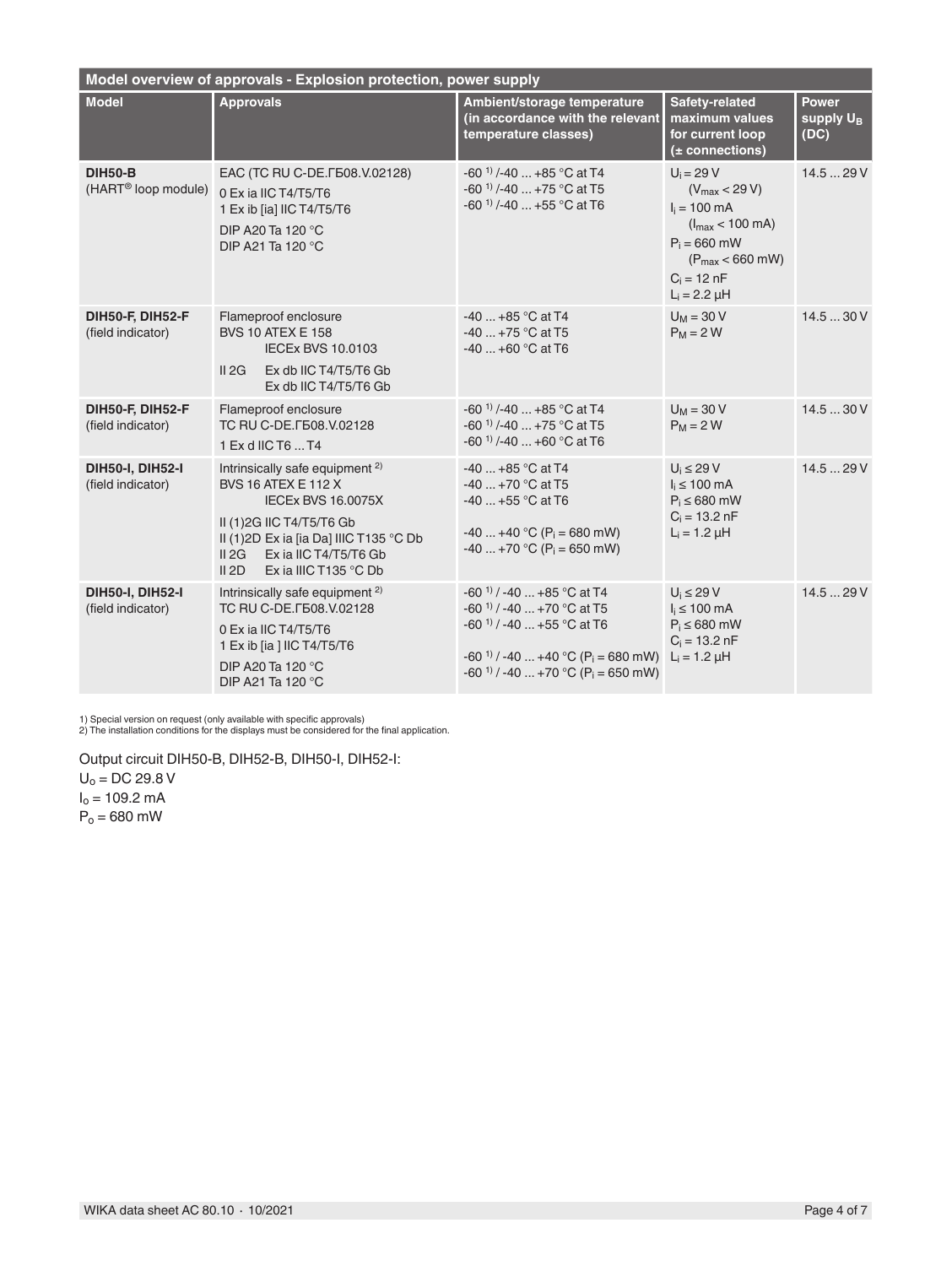| Model overview of approvals - Explosion protection, power supply |                                                                                                                                                                                                                                                 |                                                                                                                                                                                                                                     |                                                                                                                                                                                            |                                               |
|------------------------------------------------------------------|-------------------------------------------------------------------------------------------------------------------------------------------------------------------------------------------------------------------------------------------------|-------------------------------------------------------------------------------------------------------------------------------------------------------------------------------------------------------------------------------------|--------------------------------------------------------------------------------------------------------------------------------------------------------------------------------------------|-----------------------------------------------|
| <b>Model</b>                                                     | <b>Approvals</b>                                                                                                                                                                                                                                | Ambient/storage temperature<br>(in accordance with the relevant<br>temperature classes)                                                                                                                                             | Safety-related<br>maximum values<br>for current loop<br>$(±$ connections)                                                                                                                  | <b>Power</b><br>supply U <sub>B</sub><br>(DC) |
| <b>DIH50-B</b><br>(HART <sup>®</sup> loop module)                | EAC (TC RU C-DE. F508. V.02128)<br>0 Ex ia IIC T4/T5/T6<br>1 Ex ib [ia] IIC T4/T5/T6<br>DIP A20 Ta 120 °C<br>DIP A21 Ta 120 °C                                                                                                                  | -60 $^{11}$ /-40  +85 °C at T4<br>-60 $^{11}$ /-40  +75 °C at T5<br>-60 $^{11}$ /-40  +55 °C at T6                                                                                                                                  | $U_i = 29 V$<br>$(V_{\text{max}} < 29 V)$<br>$I_i = 100 \text{ mA}$<br>$(l_{\text{max}} < 100 \text{ mA})$<br>$P_i = 660$ mW<br>$(P_{max} < 660$ mW)<br>$C_i = 12 nF$<br>$L_i = 2.2 \mu H$ | 14.529V                                       |
| DIH50-F, DIH52-F<br>(field indicator)                            | Flameproof enclosure<br><b>BVS 10 ATEX E 158</b><br><b>IECEx BVS 10.0103</b><br>II 2G<br>Ex db IIC T4/T5/T6 Gb<br>Ex db IIC T4/T5/T6 Gb                                                                                                         | $-40$ $+85$ °C at T4<br>-40  +75 °C at T5<br>$-40$ $+60$ °C at T6                                                                                                                                                                   | $U_M$ = 30 V<br>$P_M = 2 W$                                                                                                                                                                | 14.530V                                       |
| DIH50-F, DIH52-F<br>(field indicator)                            | Flameproof enclosure<br>TC RU C-DE. F508, V.02128<br>1 Ex d IIC T6  T4                                                                                                                                                                          | -60 <sup>1)</sup> /-40  +85 °C at T4<br>$-60^{11}$ /-40  +75 °C at T5<br>$-60$ <sup>1)</sup> /-40 $+60$ °C at T6                                                                                                                    | $U_M$ = 30 V<br>$P_M = 2 W$                                                                                                                                                                | 14.530V                                       |
| <b>DIH50-I, DIH52-I</b><br>(field indicator)                     | Intrinsically safe equipment <sup>2)</sup><br><b>BVS 16 ATEX E 112 X</b><br><b>IECEx BVS 16.0075X</b><br>II (1)2G IIC T4/T5/T6 Gb<br>II (1)2D Ex ia [ia Da] IIIC T135 °C Db<br>II 2G<br>Ex ia IIC T4/T5/T6 Gb<br>II 2D<br>Ex ia IIIC T135 °C Db | $-40$ $+85$ °C at T4<br>$-40$ +70 °C at T5<br>$-40+55$ °C at T6<br>$-40+40$ °C (P <sub>i</sub> = 680 mW)<br>$-40$ +70 °C (P <sub>i</sub> = 650 mW)                                                                                  | $U_i \leq 29 V$<br>$i \leq 100$ mA<br>$P_i \leq 680$ mW<br>$C_i = 13.2$ nF<br>$L_i = 1.2 \mu H$                                                                                            | 14.529V                                       |
| <b>DIH50-I, DIH52-I</b><br>(field indicator)                     | Intrinsically safe equipment <sup>2)</sup><br>TC RU C-DE. [508. V.02128]<br>0 Ex ia IIC T4/T5/T6<br>1 Ex ib [ia ] IIC T4/T5/T6<br>DIP A20 Ta 120 °C<br>DIP A21 Ta 120 °C                                                                        | $-60^{11}$ / $-40$ $+85^{\circ}$ C at T4<br>$-60^{11}$ / $-40+70$ °C at T5<br>$-60^{11}$ / $-40+55$ °C at T6<br>$-60^{11}$ / $-40$ $+40^{\circ}$ C (P <sub>i</sub> = 680 mW)<br>$-60^{11}$ / $-40$ +70 °C (P <sub>i</sub> = 650 mW) | $U_i \leq 29 V$<br>$I_i \leq 100$ mA<br>$P_i \leq 680$ mW<br>$C_i = 13.2$ nF<br>$L_i = 1.2 \mu H$                                                                                          | 14.529V                                       |

1) Special version on request (only available with specific approvals) 2) The installation conditions for the displays must be considered for the final application.

Output circuit DIH50-B, DIH52-B, DIH50-I, DIH52-I:  $U_0 = DC 29.8 V$ 

 $I_0 = 109.2 \text{ mA}$ 

 $P_0 = 680$  mW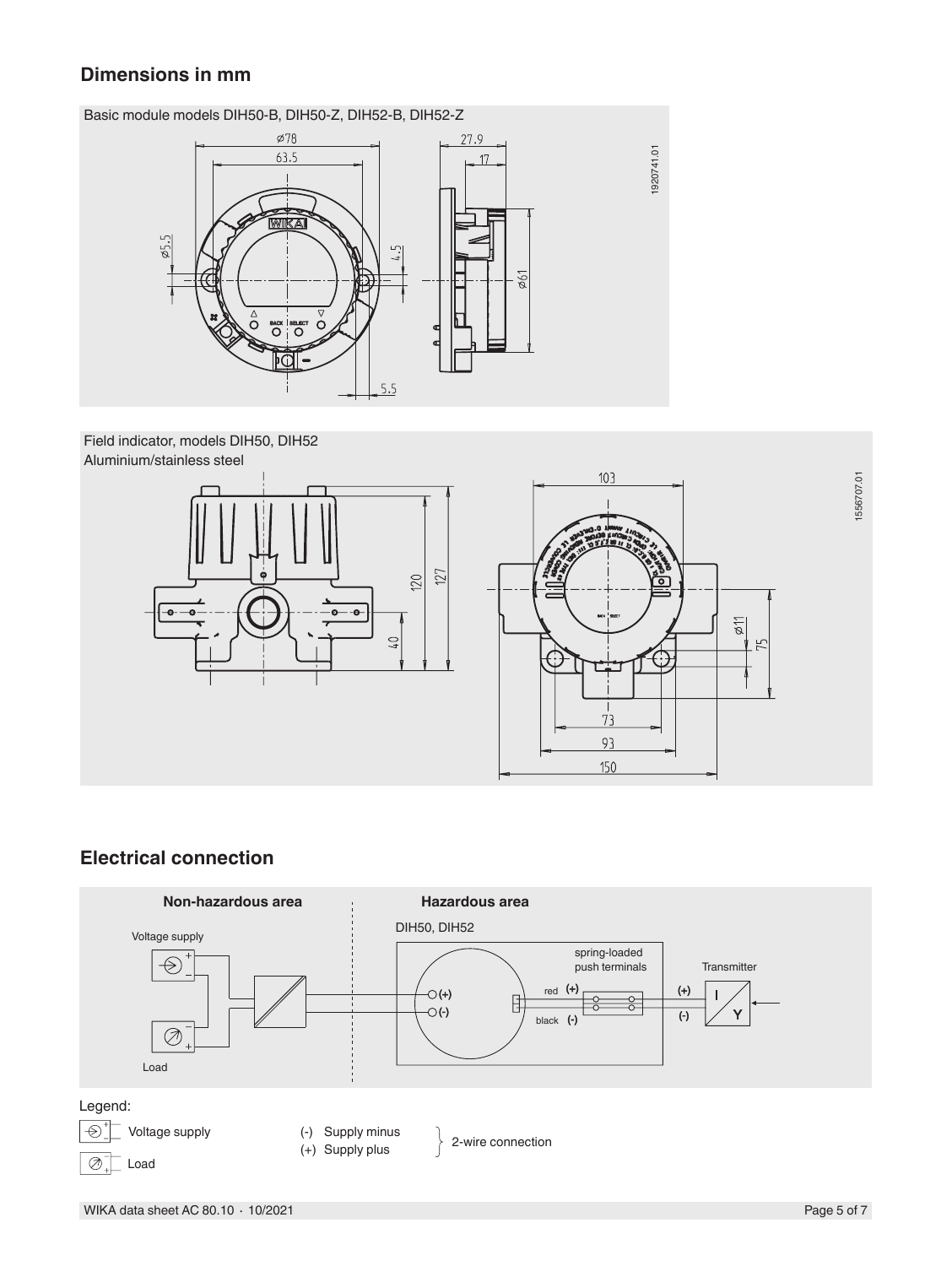#### **Dimensions in mm**

Basic module models DIH50-B, DIH50-Z, DIH52-B, DIH52-Z



Field indicator, models DIH50, DIH52 Aluminium/stainless steel



#### **Electrical connection**

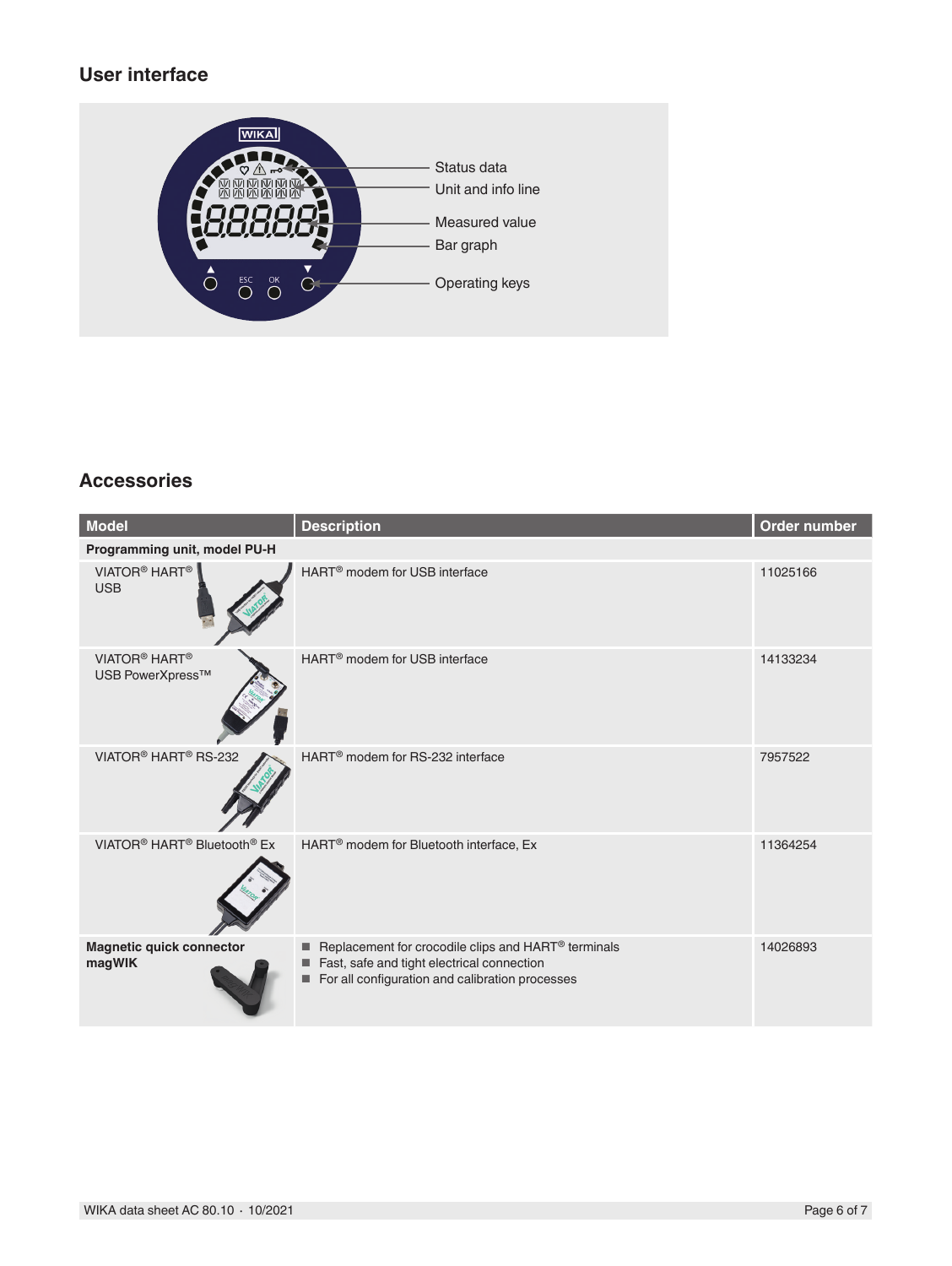#### **User interface**



#### **Accessories**

| <b>Model</b>                                                    | <b>Description</b>                                                                                                                                                         | Order number |  |
|-----------------------------------------------------------------|----------------------------------------------------------------------------------------------------------------------------------------------------------------------------|--------------|--|
| Programming unit, model PU-H                                    |                                                                                                                                                                            |              |  |
| VIATOR <sup>®</sup> HART <sup>®</sup><br><b>USB</b>             | HART <sup>®</sup> modem for USB interface                                                                                                                                  | 11025166     |  |
| VIATOR <sup>®</sup> HART <sup>®</sup><br>USB PowerXpress™       | HART <sup>®</sup> modem for USB interface                                                                                                                                  | 14133234     |  |
| VIATOR <sup>®</sup> HART <sup>®</sup> RS-232                    | HART <sup>®</sup> modem for RS-232 interface                                                                                                                               | 7957522      |  |
| VIATOR <sup>®</sup> HART <sup>®</sup> Bluetooth <sup>®</sup> Ex | HART <sup>®</sup> modem for Bluetooth interface, Ex                                                                                                                        | 11364254     |  |
| <b>Magnetic quick connector</b><br>magWIK                       | Replacement for crocodile clips and HART <sup>®</sup> terminals<br>٠<br>Fast, safe and tight electrical connection<br>For all configuration and calibration processes<br>■ | 14026893     |  |